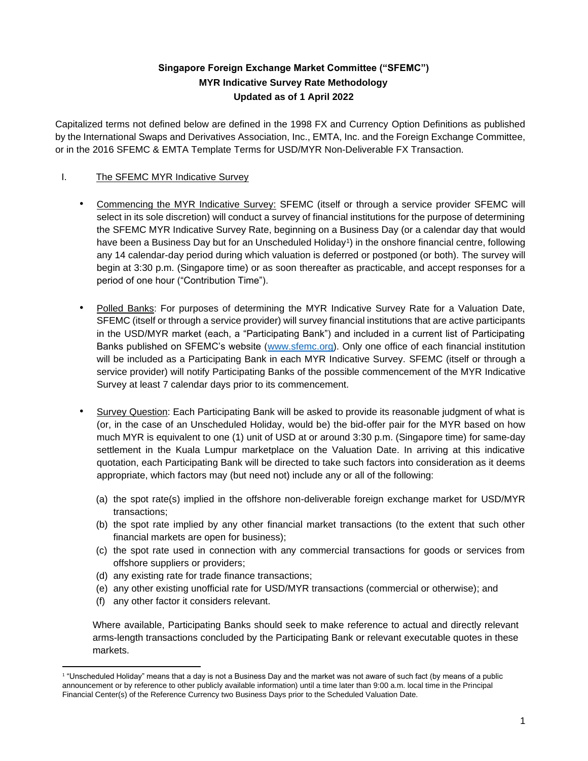# **Singapore Foreign Exchange Market Committee ("SFEMC") MYR Indicative Survey Rate Methodology Updated as of 1 April 2022**

Capitalized terms not defined below are defined in the 1998 FX and Currency Option Definitions as published by the International Swaps and Derivatives Association, Inc., EMTA, Inc. and the Foreign Exchange Committee, or in the 2016 SFEMC & EMTA Template Terms for USD/MYR Non-Deliverable FX Transaction.

## I. The SFEMC MYR Indicative Survey

- Commencing the MYR Indicative Survey: SFEMC (itself or through a service provider SFEMC will select in its sole discretion) will conduct a survey of financial institutions for the purpose of determining the SFEMC MYR Indicative Survey Rate, beginning on a Business Day (or a calendar day that would have been a Business Day but for an Unscheduled Holiday<sup>1</sup>) in the onshore financial centre, following any 14 calendar-day period during which valuation is deferred or postponed (or both). The survey will begin at 3:30 p.m. (Singapore time) or as soon thereafter as practicable, and accept responses for a period of one hour ("Contribution Time").
- Polled Banks: For purposes of determining the MYR Indicative Survey Rate for a Valuation Date, SFEMC (itself or through a service provider) will survey financial institutions that are active participants in the USD/MYR market (each, a "Participating Bank") and included in a current list of Participating Banks published on SFEMC's website [\(www.sfemc.org\)](http://www.sfemc.org/). Only one office of each financial institution will be included as a Participating Bank in each MYR Indicative Survey. SFEMC (itself or through a service provider) will notify Participating Banks of the possible commencement of the MYR Indicative Survey at least 7 calendar days prior to its commencement.
- Survey Question: Each Participating Bank will be asked to provide its reasonable judgment of what is (or, in the case of an Unscheduled Holiday, would be) the bid-offer pair for the MYR based on how much MYR is equivalent to one (1) unit of USD at or around 3:30 p.m. (Singapore time) for same-day settlement in the Kuala Lumpur marketplace on the Valuation Date. In arriving at this indicative quotation, each Participating Bank will be directed to take such factors into consideration as it deems appropriate, which factors may (but need not) include any or all of the following:
	- (a) the spot rate(s) implied in the offshore non-deliverable foreign exchange market for USD/MYR transactions;
	- (b) the spot rate implied by any other financial market transactions (to the extent that such other financial markets are open for business);
	- (c) the spot rate used in connection with any commercial transactions for goods or services from offshore suppliers or providers;
	- (d) any existing rate for trade finance transactions;
	- (e) any other existing unofficial rate for USD/MYR transactions (commercial or otherwise); and
	- (f) any other factor it considers relevant.

Where available, Participating Banks should seek to make reference to actual and directly relevant arms-length transactions concluded by the Participating Bank or relevant executable quotes in these markets.

<sup>1</sup> "Unscheduled Holiday" means that a day is not a Business Day and the market was not aware of such fact (by means of a public announcement or by reference to other publicly available information) until a time later than 9:00 a.m. local time in the Principal Financial Center(s) of the Reference Currency two Business Days prior to the Scheduled Valuation Date.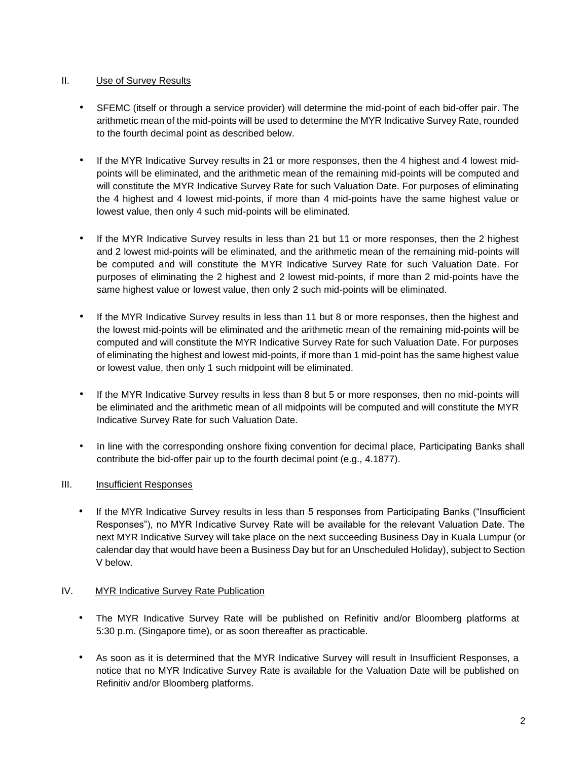### II. Use of Survey Results

- SFEMC (itself or through a service provider) will determine the mid-point of each bid-offer pair. The arithmetic mean of the mid-points will be used to determine the MYR Indicative Survey Rate, rounded to the fourth decimal point as described below.
- If the MYR Indicative Survey results in 21 or more responses, then the 4 highest and 4 lowest midpoints will be eliminated, and the arithmetic mean of the remaining mid-points will be computed and will constitute the MYR Indicative Survey Rate for such Valuation Date. For purposes of eliminating the 4 highest and 4 lowest mid-points, if more than 4 mid-points have the same highest value or lowest value, then only 4 such mid-points will be eliminated.
- If the MYR Indicative Survey results in less than 21 but 11 or more responses, then the 2 highest and 2 lowest mid-points will be eliminated, and the arithmetic mean of the remaining mid-points will be computed and will constitute the MYR Indicative Survey Rate for such Valuation Date. For purposes of eliminating the 2 highest and 2 lowest mid-points, if more than 2 mid-points have the same highest value or lowest value, then only 2 such mid-points will be eliminated.
- If the MYR Indicative Survey results in less than 11 but 8 or more responses, then the highest and the lowest mid-points will be eliminated and the arithmetic mean of the remaining mid-points will be computed and will constitute the MYR Indicative Survey Rate for such Valuation Date. For purposes of eliminating the highest and lowest mid-points, if more than 1 mid-point has the same highest value or lowest value, then only 1 such midpoint will be eliminated.
- If the MYR Indicative Survey results in less than 8 but 5 or more responses, then no mid-points will be eliminated and the arithmetic mean of all midpoints will be computed and will constitute the MYR Indicative Survey Rate for such Valuation Date.
- In line with the corresponding onshore fixing convention for decimal place, Participating Banks shall contribute the bid-offer pair up to the fourth decimal point (e.g., 4.1877).

## III. Insufficient Responses

• If the MYR Indicative Survey results in less than 5 responses from Participating Banks ("Insufficient Responses"), no MYR Indicative Survey Rate will be available for the relevant Valuation Date. The next MYR Indicative Survey will take place on the next succeeding Business Day in Kuala Lumpur (or calendar day that would have been a Business Day but for an Unscheduled Holiday), subject to Section V below.

#### IV. MYR Indicative Survey Rate Publication

- The MYR Indicative Survey Rate will be published on Refinitiv and/or Bloomberg platforms at 5:30 p.m. (Singapore time), or as soon thereafter as practicable.
- As soon as it is determined that the MYR Indicative Survey will result in Insufficient Responses, a notice that no MYR Indicative Survey Rate is available for the Valuation Date will be published on Refinitiv and/or Bloomberg platforms.